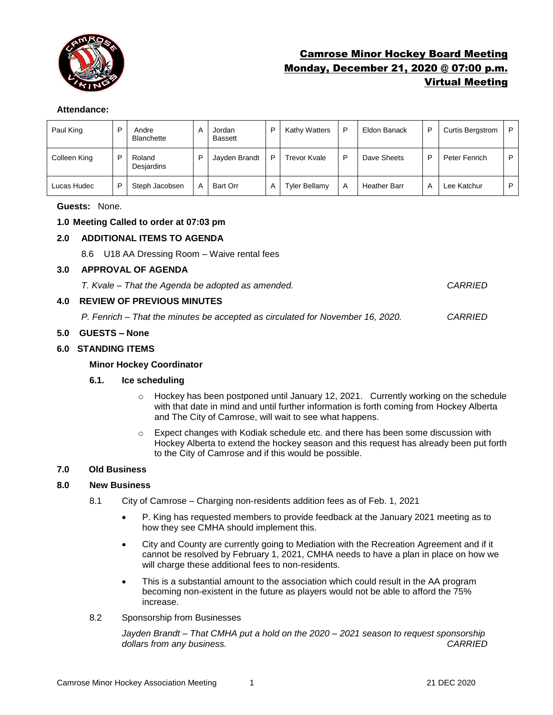

# Camrose Minor Hockey Board Meeting Monday, December 21, 2020 @ 07:00 p.m. Virtual Meeting

## **Attendance:**

| Paul King    | D | Andre<br><b>Blanchette</b> | A | Jordan<br><b>Bassett</b> | D | <b>Kathy Watters</b> | P | Eldon Banack        | P | <b>Curtis Bergstrom</b> | P |
|--------------|---|----------------------------|---|--------------------------|---|----------------------|---|---------------------|---|-------------------------|---|
| Colleen King | D | Roland<br>Desjardins       | D | Jayden Brandt            | D | Trevor Kvale         | D | Dave Sheets         | P | Peter Fenrich           | D |
| Lucas Hudec  | D | Steph Jacobsen             | A | Bart Orr                 | Α | <b>Tyler Bellamy</b> | A | <b>Heather Barr</b> | А | Lee Katchur             | D |

**Guests:** None.

# **1.0 Meeting Called to order at 07:03 pm**

# **2.0 ADDITIONAL ITEMS TO AGENDA**

8.6 U18 AA Dressing Room – Waive rental fees

#### **3.0 APPROVAL OF AGENDA**

*T. Kvale – That the Agenda be adopted as amended. CARRIED*

## **4.0 REVIEW OF PREVIOUS MINUTES**

*P. Fenrich – That the minutes be accepted as circulated for November 16, 2020. CARRIED*

## **5.0 GUESTS – None**

## **6.0 STANDING ITEMS**

## **Minor Hockey Coordinator**

## **6.1. Ice scheduling**

- $\circ$  Hockey has been postponed until January 12, 2021. Currently working on the schedule with that date in mind and until further information is forth coming from Hockey Alberta and The City of Camrose, will wait to see what happens.
- $\circ$  Expect changes with Kodiak schedule etc. and there has been some discussion with Hockey Alberta to extend the hockey season and this request has already been put forth to the City of Camrose and if this would be possible.

## **7.0 Old Business**

## **8.0 New Business**

- 8.1 City of Camrose Charging non-residents addition fees as of Feb. 1, 2021
	- P. King has requested members to provide feedback at the January 2021 meeting as to how they see CMHA should implement this.
	- City and County are currently going to Mediation with the Recreation Agreement and if it cannot be resolved by February 1, 2021, CMHA needs to have a plan in place on how we will charge these additional fees to non-residents.
	- This is a substantial amount to the association which could result in the AA program becoming non-existent in the future as players would not be able to afford the 75% increase.
- 8.2 Sponsorship from Businesses

*Jayden Brandt – That CMHA put a hold on the 2020 – 2021 season to request sponsorship dollars from any business. CARRIED*